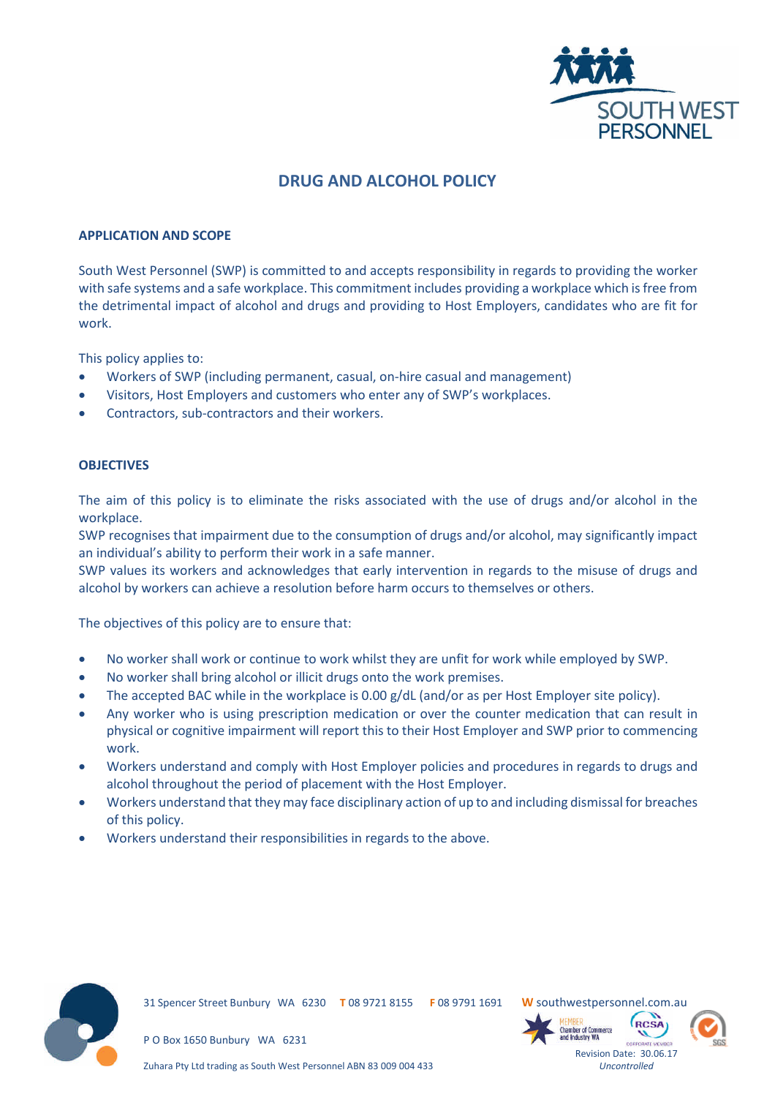

# **DRUG AND ALCOHOL POLICY**

#### **APPLICATION AND SCOPE**

South West Personnel (SWP) is committed to and accepts responsibility in regards to providing the worker with safe systems and a safe workplace. This commitment includes providing a workplace which is free from the detrimental impact of alcohol and drugs and providing to Host Employers, candidates who are fit for work.

This policy applies to:

- Workers of SWP (including permanent, casual, on-hire casual and management)
- Visitors, Host Employers and customers who enter any of SWP's workplaces.
- Contractors, sub-contractors and their workers.

# **OBJECTIVES**

The aim of this policy is to eliminate the risks associated with the use of drugs and/or alcohol in the workplace.

SWP recognises that impairment due to the consumption of drugs and/or alcohol, may significantly impact an individual's ability to perform their work in a safe manner.

SWP values its workers and acknowledges that early intervention in regards to the misuse of drugs and alcohol by workers can achieve a resolution before harm occurs to themselves or others.

The objectives of this policy are to ensure that:

- No worker shall work or continue to work whilst they are unfit for work while employed by SWP.
- No worker shall bring alcohol or illicit drugs onto the work premises.
- The accepted BAC while in the workplace is 0.00 g/dL (and/or as per Host Employer site policy).
- Any worker who is using prescription medication or over the counter medication that can result in physical or cognitive impairment will report this to their Host Employer and SWP prior to commencing work.
- Workers understand and comply with Host Employer policies and procedures in regards to drugs and alcohol throughout the period of placement with the Host Employer.
- Workers understand that they may face disciplinary action of up to and including dismissal for breaches of this policy.
- Workers understand their responsibilities in regards to the above.



31 Spencer Street Bunbury WA 6230 **T** 08 9721 8155 **F** 08 9791 1691 **W** southwestpersonnel.com.au



*Uncontrolled*



P O Box 1650 Bunbury WA 6231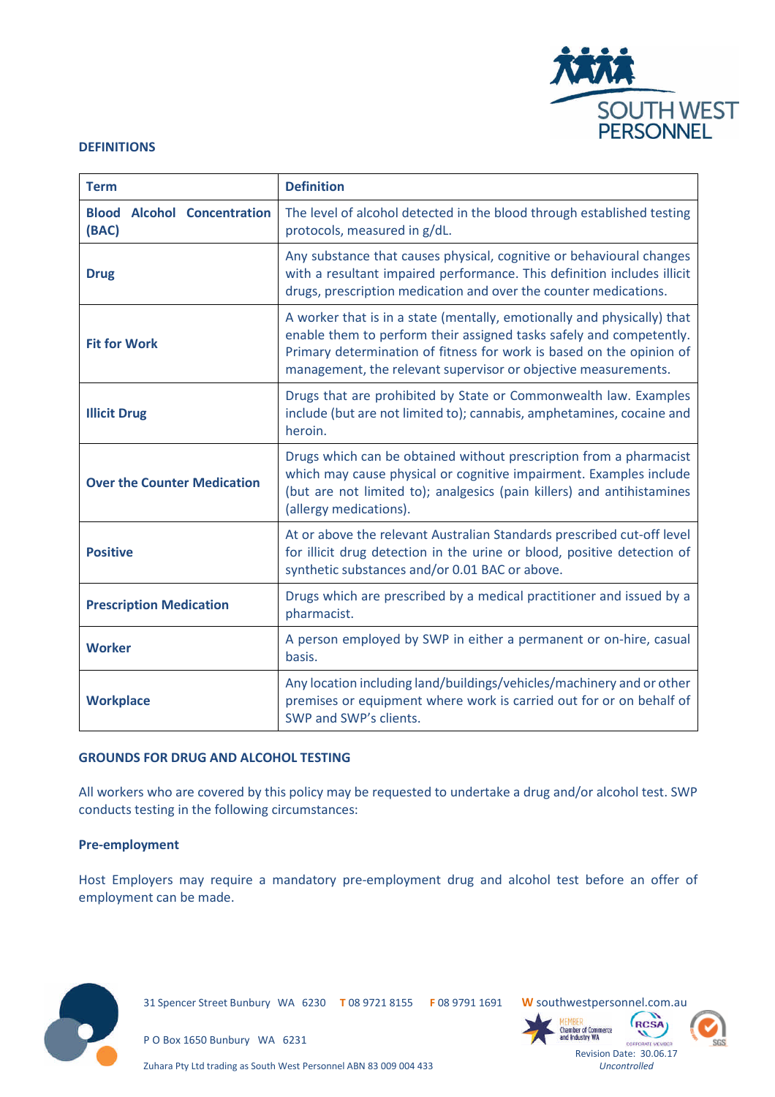

#### **DEFINITIONS**

| <b>Term</b>                                 | <b>Definition</b>                                                                                                                                                                                                                                                                        |
|---------------------------------------------|------------------------------------------------------------------------------------------------------------------------------------------------------------------------------------------------------------------------------------------------------------------------------------------|
| <b>Blood Alcohol Concentration</b><br>(BAC) | The level of alcohol detected in the blood through established testing<br>protocols, measured in g/dL.                                                                                                                                                                                   |
| <b>Drug</b>                                 | Any substance that causes physical, cognitive or behavioural changes<br>with a resultant impaired performance. This definition includes illicit<br>drugs, prescription medication and over the counter medications.                                                                      |
| <b>Fit for Work</b>                         | A worker that is in a state (mentally, emotionally and physically) that<br>enable them to perform their assigned tasks safely and competently.<br>Primary determination of fitness for work is based on the opinion of<br>management, the relevant supervisor or objective measurements. |
| <b>Illicit Drug</b>                         | Drugs that are prohibited by State or Commonwealth law. Examples<br>include (but are not limited to); cannabis, amphetamines, cocaine and<br>heroin.                                                                                                                                     |
| <b>Over the Counter Medication</b>          | Drugs which can be obtained without prescription from a pharmacist<br>which may cause physical or cognitive impairment. Examples include<br>(but are not limited to); analgesics (pain killers) and antihistamines<br>(allergy medications).                                             |
| <b>Positive</b>                             | At or above the relevant Australian Standards prescribed cut-off level<br>for illicit drug detection in the urine or blood, positive detection of<br>synthetic substances and/or 0.01 BAC or above.                                                                                      |
| <b>Prescription Medication</b>              | Drugs which are prescribed by a medical practitioner and issued by a<br>pharmacist.                                                                                                                                                                                                      |
| <b>Worker</b>                               | A person employed by SWP in either a permanent or on-hire, casual<br>basis.                                                                                                                                                                                                              |
| <b>Workplace</b>                            | Any location including land/buildings/vehicles/machinery and or other<br>premises or equipment where work is carried out for or on behalf of<br>SWP and SWP's clients.                                                                                                                   |

#### **GROUNDS FOR DRUG AND ALCOHOL TESTING**

All workers who are covered by this policy may be requested to undertake a drug and/or alcohol test. SWP conducts testing in the following circumstances:

# **Pre-employment**

Host Employers may require a mandatory pre-employment drug and alcohol test before an offer of employment can be made.



31 Spencer Street Bunbury WA 6230 **T** 08 9721 8155 **F** 08 9791 1691 **W** southwestpersonnel.com.au

**Chamber of Commerce** 

P O Box 1650 Bunbury WA 6231

Zuhara Pty Ltd trading as South West Personnel ABN 83 009 004 433



**RCSA**